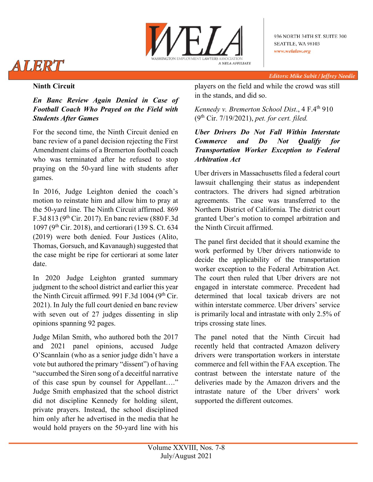

# ALERT

**Editors: Mike Subit / Jeffrey Needle** 

# **Ninth Circuit**

## *En Banc Review Again Denied in Case of Football Coach Who Prayed on the Field with Students After Games*

For the second time, the Ninth Circuit denied en banc review of a panel decision rejecting the First Amendment claims of a Bremerton football coach who was terminated after he refused to stop praying on the 50-yard line with students after games.

In 2016, Judge Leighton denied the coach's motion to reinstate him and allow him to pray at the 50-yard line. The Ninth Circuit affirmed. 869 F.3d 813 (9th Cir. 2017). En banc review (880 F.3d 1097 (9th Cir. 2018), and certiorari (139 S. Ct. 634 (2019) were both denied. Four Justices (Alito, Thomas, Gorsuch, and Kavanaugh) suggested that the case might be ripe for certiorari at some later date.

In 2020 Judge Leighton granted summary judgment to the school district and earlier this year the Ninth Circuit affirmed. 991 F.3d 1004 ( $9<sup>th</sup>$  Cir. 2021). In July the full court denied en banc review with seven out of 27 judges dissenting in slip opinions spanning 92 pages.

Judge Milan Smith, who authored both the 2017 and 2021 panel opinions, accused Judge O'Scannlain (who as a senior judge didn't have a vote but authored the primary "dissent") of having "succumbed the Siren song of a deceitful narrative of this case spun by counsel for Appellant…." Judge Smith emphasized that the school district did not discipline Kennedy for holding silent, private prayers. Instead, the school disciplined him only after he advertised in the media that he would hold prayers on the 50-yard line with his players on the field and while the crowd was still in the stands, and did so.

*Kennedy v. Bremerton School Dist*., 4 F.4th 910 (9th Cir. 7/19/2021), *pet. for cert. filed.*

*Uber Drivers Do Not Fall Within Interstate Commerce and Do Not Qualify for Transportation Worker Exception to Federal Arbitration Act*

Uber drivers in Massachusetts filed a federal court lawsuit challenging their status as independent contractors. The drivers had signed arbitration agreements. The case was transferred to the Northern District of California. The district court granted Uber's motion to compel arbitration and the Ninth Circuit affirmed.

The panel first decided that it should examine the work performed by Uber drivers nationwide to decide the applicability of the transportation worker exception to the Federal Arbitration Act. The court then ruled that Uber drivers are not engaged in interstate commerce. Precedent had determined that local taxicab drivers are not within interstate commerce. Uber drivers' service is primarily local and intrastate with only 2.5% of trips crossing state lines.

The panel noted that the Ninth Circuit had recently held that contracted Amazon delivery drivers were transportation workers in interstate commerce and fell within the FAA exception. The contrast between the interstate nature of the deliveries made by the Amazon drivers and the intrastate nature of the Uber drivers' work supported the different outcomes.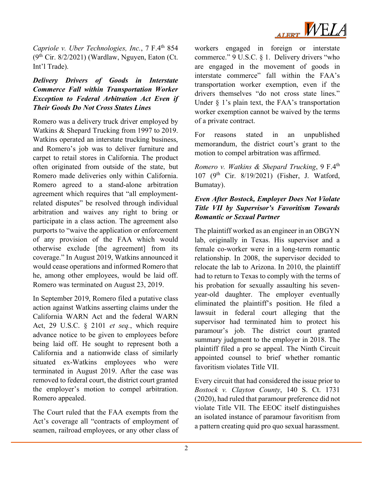

*Capriole v. Uber Technologies, Inc., 7 F.4th 854*  $(9<sup>th</sup> Cir. 8/2/2021)$  (Wardlaw, Nguyen, Eaton (Ct. Int'l Trade).

#### *Delivery Drivers of Goods in Interstate Commerce Fall within Transportation Worker Exception to Federal Arbitration Act Even if Their Goods Do Not Cross States Lines*

Romero was a delivery truck driver employed by Watkins & Shepard Trucking from 1997 to 2019. Watkins operated an interstate trucking business, and Romero's job was to deliver furniture and carpet to retail stores in California. The product often originated from outside of the state, but Romero made deliveries only within California. Romero agreed to a stand-alone arbitration agreement which requires that "all employmentrelated disputes" be resolved through individual arbitration and waives any right to bring or participate in a class action. The agreement also purports to "waive the application or enforcement of any provision of the FAA which would otherwise exclude [the agreement] from its coverage." In August 2019, Watkins announced it would cease operations and informed Romero that he, among other employees, would be laid off. Romero was terminated on August 23, 2019.

In September 2019, Romero filed a putative class action against Watkins asserting claims under the California WARN Act and the federal WARN Act, 29 U.S.C. § 2101 *et seq.*, which require advance notice to be given to employees before being laid off. He sought to represent both a California and a nationwide class of similarly situated ex-Watkins employees who were terminated in August 2019. After the case was removed to federal court, the district court granted the employer's motion to compel arbitration. Romero appealed.

The Court ruled that the FAA exempts from the Act's coverage all "contracts of employment of seamen, railroad employees, or any other class of

workers engaged in foreign or interstate commerce." 9 U.S.C. § 1. Delivery drivers "who are engaged in the movement of goods in interstate commerce" fall within the FAA's transportation worker exemption, even if the drivers themselves "do not cross state lines." Under  $\S$  1's plain text, the FAA's transportation worker exemption cannot be waived by the terms of a private contract.

For reasons stated in an unpublished memorandum, the district court's grant to the motion to compel arbitration was affirmed.

*Romero v. Watkins & Shepard Trucking*, 9 F.4<sup>th</sup> 107 (9th Cir. 8/19/2021) (Fisher, J. Watford, Bumatay).

### *Even After Bostock, Employer Does Not Violate Title VII by Supervisor's Favoritism Towards Romantic or Sexual Partner*

The plaintiff worked as an engineer in an OBGYN lab, originally in Texas. His supervisor and a female co-worker were in a long-term romantic relationship. In 2008, the supervisor decided to relocate the lab to Arizona. In 2010, the plaintiff had to return to Texas to comply with the terms of his probation for sexually assaulting his sevenyear-old daughter. The employer eventually eliminated the plaintiff's position. He filed a lawsuit in federal court alleging that the supervisor had terminated him to protect his paramour's job. The district court granted summary judgment to the employer in 2018. The plaintiff filed a pro se appeal. The Ninth Circuit appointed counsel to brief whether romantic favoritism violates Title VII.

Every circuit that had considered the issue prior to *Bostock v. Clayton County*, 140 S. Ct. 1731 (2020), had ruled that paramour preference did not violate Title VII. The EEOC itself distinguishes an isolated instance of paramour favoritism from a pattern creating quid pro quo sexual harassment.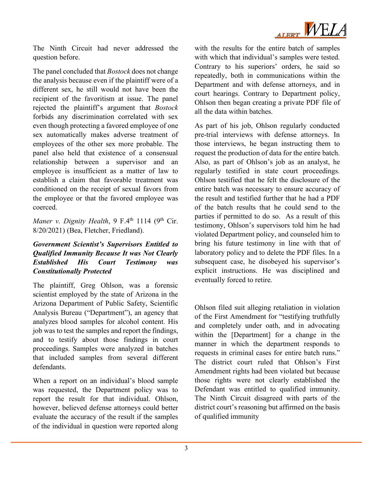

The Ninth Circuit had never addressed the question before.

The panel concluded that *Bostock* does not change the analysis because even if the plaintiff were of a different sex, he still would not have been the recipient of the favoritism at issue. The panel rejected the plaintiff's argument that *Bostock* forbids any discrimination correlated with sex even though protecting a favored employee of one sex automatically makes adverse treatment of employees of the other sex more probable. The panel also held that existence of a consensual relationship between a supervisor and an employee is insufficient as a matter of law to establish a claim that favorable treatment was conditioned on the receipt of sexual favors from the employee or that the favored employee was coerced.

*Maner v. Dignity Health*, 9 F.4<sup>th</sup> 1114 (9<sup>th</sup> Cir. 8/20/2021) (Bea, Fletcher, Friedland).

#### *Government Scientist's Supervisors Entitled to Qualified Immunity Because It was Not Clearly Established His Court Testimony was Constitutionally Protected*

The plaintiff, Greg Ohlson, was a forensic scientist employed by the state of Arizona in the Arizona Department of Public Safety, Scientific Analysis Bureau ("Department"), an agency that analyzes blood samples for alcohol content. His job was to test the samples and report the findings, and to testify about those findings in court proceedings. Samples were analyzed in batches that included samples from several different defendants.

When a report on an individual's blood sample was requested, the Department policy was to report the result for that individual. Ohlson, however, believed defense attorneys could better evaluate the accuracy of the result if the samples of the individual in question were reported along

with the results for the entire batch of samples with which that individual's samples were tested. Contrary to his superiors' orders, he said so repeatedly, both in communications within the Department and with defense attorneys, and in court hearings. Contrary to Department policy, Ohlson then began creating a private PDF file of all the data within batches.

As part of his job, Ohlson regularly conducted pre-trial interviews with defense attorneys. In those interviews, he began instructing them to request the production of data for the entire batch. Also, as part of Ohlson's job as an analyst, he regularly testified in state court proceedings. Ohlson testified that he felt the disclosure of the entire batch was necessary to ensure accuracy of the result and testified further that he had a PDF of the batch results that he could send to the parties if permitted to do so. As a result of this testimony, Ohlson's supervisors told him he had violated Department policy, and counseled him to bring his future testimony in line with that of laboratory policy and to delete the PDF files. In a subsequent case, he disobeyed his supervisor's explicit instructions. He was disciplined and eventually forced to retire.

Ohlson filed suit alleging retaliation in violation of the First Amendment for "testifying truthfully and completely under oath, and in advocating within the [Department] for a change in the manner in which the department responds to requests in criminal cases for entire batch runs." The district court ruled that Ohlson's First Amendment rights had been violated but because those rights were not clearly established the Defendant was entitled to qualified immunity. The Ninth Circuit disagreed with parts of the district court's reasoning but affirmed on the basis of qualified immunity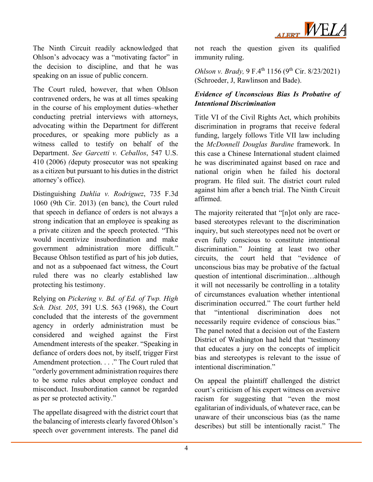

The Ninth Circuit readily acknowledged that Ohlson's advocacy was a "motivating factor" in the decision to discipline, and that he was speaking on an issue of public concern.

The Court ruled, however, that when Ohlson contravened orders, he was at all times speaking in the course of his employment duties–whether conducting pretrial interviews with attorneys, advocating within the Department for different procedures, or speaking more publicly as a witness called to testify on behalf of the Department. *See Garcetti v. Ceballos*, 547 U.S. 410 (2006) *(*deputy prosecutor was not speaking as a citizen but pursuant to his duties in the district attorney's office).

Distinguishing *Dahlia v. Rodriguez*, 735 F.3d 1060 (9th Cir. 2013) (en banc), the Court ruled that speech in defiance of orders is not always a strong indication that an employee is speaking as a private citizen and the speech protected. "This would incentivize insubordination and make government administration more difficult." Because Ohlson testified as part of his job duties, and not as a subpoenaed fact witness, the Court ruled there was no clearly established law protecting his testimony.

Relying on *Pickering v. Bd. of Ed. of Twp. High Sch. Dist. 205*, 391 U.S. 563 (1968), the Court concluded that the interests of the government agency in orderly administration must be considered and weighed against the First Amendment interests of the speaker. "Speaking in defiance of orders does not, by itself, trigger First Amendment protection. . . ." The Court ruled that "orderly government administration requires there to be some rules about employee conduct and misconduct. Insubordination cannot be regarded as per se protected activity."

The appellate disagreed with the district court that the balancing of interests clearly favored Ohlson's speech over government interests. The panel did not reach the question given its qualified immunity ruling.

*Ohlson v. Brady,* 9 F.4<sup>th</sup> 1156 (9<sup>th</sup> Cir. 8/23/2021) (Schroeder, J, Rawlinson and Bade).

### *Evidence of Unconscious Bias Is Probative of Intentional Discrimination*

Title VI of the Civil Rights Act, which prohibits discrimination in programs that receive federal funding, largely follows Title VII law including the *McDonnell Douglas Burdine* framework. In this case a Chinese International student claimed he was discriminated against based on race and national origin when he failed his doctoral program. He filed suit. The district court ruled against him after a bench trial. The Ninth Circuit affirmed.

The majority reiterated that "[n]ot only are racebased stereotypes relevant to the discrimination inquiry, but such stereotypes need not be overt or even fully conscious to constitute intentional discrimination." Jointing at least two other circuits, the court held that "evidence of unconscious bias may be probative of the factual question of intentional discrimination…although it will not necessarily be controlling in a totality of circumstances evaluation whether intentional discrimination occurred." The court further held that "intentional discrimination does not necessarily require evidence of conscious bias." The panel noted that a decision out of the Eastern District of Washington had held that "testimony that educates a jury on the concepts of implicit bias and stereotypes is relevant to the issue of intentional discrimination."

On appeal the plaintiff challenged the district court's criticism of his expert witness on aversive racism for suggesting that "even the most egalitarian of individuals, of whatever race, can be unaware of their unconscious bias (as the name describes) but still be intentionally racist." The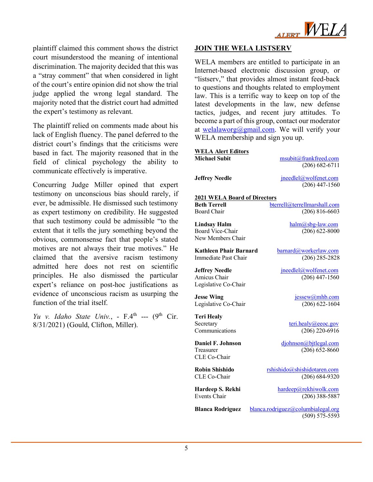

plaintiff claimed this comment shows the district court misunderstood the meaning of intentional discrimination. The majority decided that this was a "stray comment" that when considered in light of the court's entire opinion did not show the trial judge applied the wrong legal standard. The majority noted that the district court had admitted the expert's testimony as relevant.

The plaintiff relied on comments made about his lack of English fluency. The panel deferred to the district court's findings that the criticisms were based in fact. The majority reasoned that in the field of clinical psychology the ability to communicate effectively is imperative.

Concurring Judge Miller opined that expert testimony on unconscious bias should rarely, if ever, be admissible. He dismissed such testimony as expert testimony on credibility. He suggested that such testimony could be admissible "to the extent that it tells the jury something beyond the obvious, commonsense fact that people's stated motives are not always their true motives." He claimed that the aversive racism testimony admitted here does not rest on scientific principles. He also dismissed the particular expert's reliance on post-hoc justifications as evidence of unconscious racism as usurping the function of the trial itself.

*Yu v. Idaho State Univ.*, -  $F.4<sup>th</sup>$  --- (9<sup>th</sup> Cir. 8/31/2021) (Gould, Clifton, Miller).

#### **JOIN THE WELA LISTSERV**

WELA members are entitled to participate in an Internet-based electronic discussion group, or "listserv," that provides almost instant feed-back to questions and thoughts related to employment law. This is a terrific way to keep on top of the latest developments in the law, new defense tactics, judges, and recent jury attitudes. To become a part of this group, contact our moderator at [welalaworg@gmail.com.](mailto:welalaworg@gmail.com) We will verify your WELA membership and sign you up.

| <b>WELA Alert Editors</b>           |                                           |
|-------------------------------------|-------------------------------------------|
| <b>Michael Subit</b>                | msubit@frankfreed.com                     |
|                                     | $(206) 682 - 6711$                        |
| <b>Jeffrey Needle</b>               | jneedlel@wolfenet.com<br>$(206)$ 447-1560 |
|                                     |                                           |
| <b>2021 WELA Board of Directors</b> |                                           |
| <b>Beth Terrell</b>                 | bterrell@terrellmarshall.com              |
| Board Chair                         | $(206) 816 - 6603$                        |
| <b>Lindsay Halm</b>                 | halm@sbg-law.com                          |
| <b>Board Vice-Chair</b>             | $(206)$ 622-8000                          |
| New Members Chair                   |                                           |
|                                     |                                           |
| <b>Kathleen Phair Barnard</b>       | barnard@workerlaw.com                     |
| Immediate Past Chair                | $(206)$ 285-2828                          |
|                                     |                                           |
| <b>Jeffrey Needle</b>               | jneedlel@wolfenet.com                     |
| Amicus Chair                        | $(206)$ 447-1560                          |
| Legislative Co-Chair                |                                           |
| <b>Jesse Wing</b>                   | jessew@mhb.com                            |
| Legislative Co-Chair                | $(206) 622 - 1604$                        |
|                                     |                                           |
| <b>Teri Healy</b>                   |                                           |
| Secretary                           | teri.healy@eeoc.gov                       |
| Communications                      | $(206)$ 220-6916                          |
|                                     |                                           |
| <b>Daniel F. Johnson</b>            | djohnson@bjtlegal.com                     |
| Treasurer<br>CLE Co-Chair           | $(206) 652 - 8660$                        |
|                                     |                                           |
| <b>Robin Shishido</b>               | rshishido@shishidotaren.com               |
| CLE Co-Chair                        | $(206) 684-9320$                          |
|                                     |                                           |
| Hardeep S. Rekhi                    | hardeep@rekhiwolk.com                     |
| Events Chair                        | $(206)$ 388-5887                          |
| <b>Blanca Rodriguez</b>             | blanca.rodriguez@columbialegal.org        |
|                                     | $(509) 575 - 5593$                        |
|                                     |                                           |